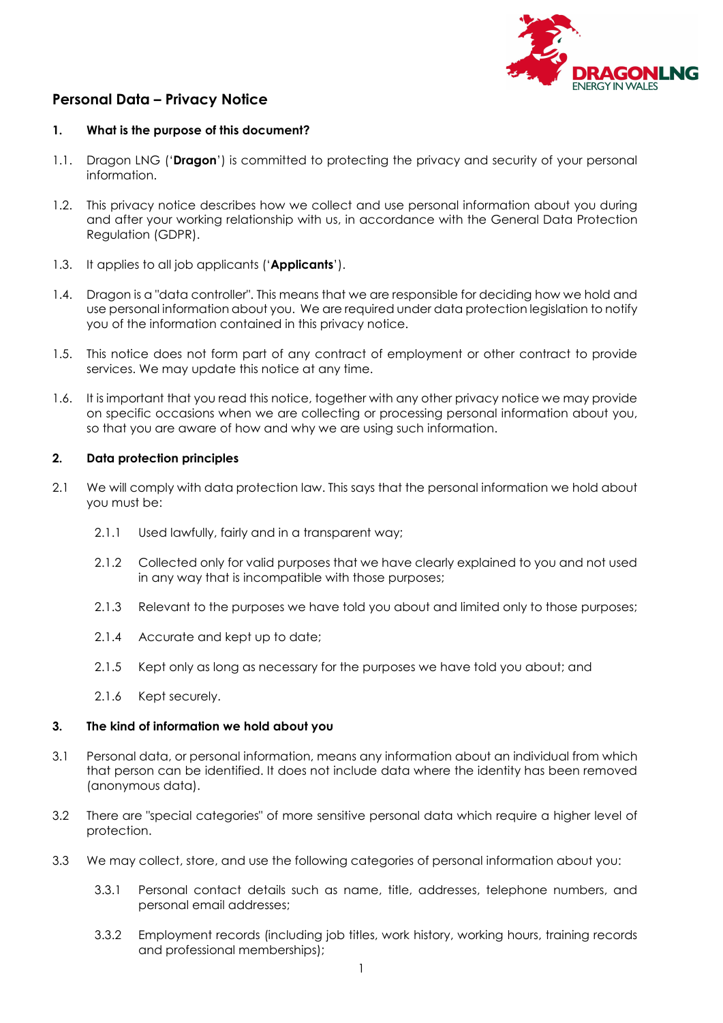

# Personal Data – Privacy Notice

#### 1. What is the purpose of this document?

- 1.1. Dragon LNG ('Dragon') is committed to protecting the privacy and security of your personal information.
- 1.2. This privacy notice describes how we collect and use personal information about you during and after your working relationship with us, in accordance with the General Data Protection Regulation (GDPR).
- 1.3. It applies to all job applicants ('Applicants').
- 1.4. Dragon is a "data controller". This means that we are responsible for deciding how we hold and use personal information about you. We are required under data protection legislation to notify you of the information contained in this privacy notice.
- 1.5. This notice does not form part of any contract of employment or other contract to provide services. We may update this notice at any time.
- 1.6. It is important that you read this notice, together with any other privacy notice we may provide on specific occasions when we are collecting or processing personal information about you, so that you are aware of how and why we are using such information.

## 2. Data protection principles

- 2.1 We will comply with data protection law. This says that the personal information we hold about you must be:
	- 2.1.1 Used lawfully, fairly and in a transparent way;
	- 2.1.2 Collected only for valid purposes that we have clearly explained to you and not used in any way that is incompatible with those purposes;
	- 2.1.3 Relevant to the purposes we have told you about and limited only to those purposes;
	- 2.1.4 Accurate and kept up to date;
	- 2.1.5 Kept only as long as necessary for the purposes we have told you about; and
	- 2.1.6 Kept securely.

#### 3. The kind of information we hold about you

- 3.1 Personal data, or personal information, means any information about an individual from which that person can be identified. It does not include data where the identity has been removed (anonymous data).
- 3.2 There are "special categories" of more sensitive personal data which require a higher level of protection.
- 3.3 We may collect, store, and use the following categories of personal information about you:
	- 3.3.1 Personal contact details such as name, title, addresses, telephone numbers, and personal email addresses;
	- 3.3.2 Employment records (including job titles, work history, working hours, training records and professional memberships);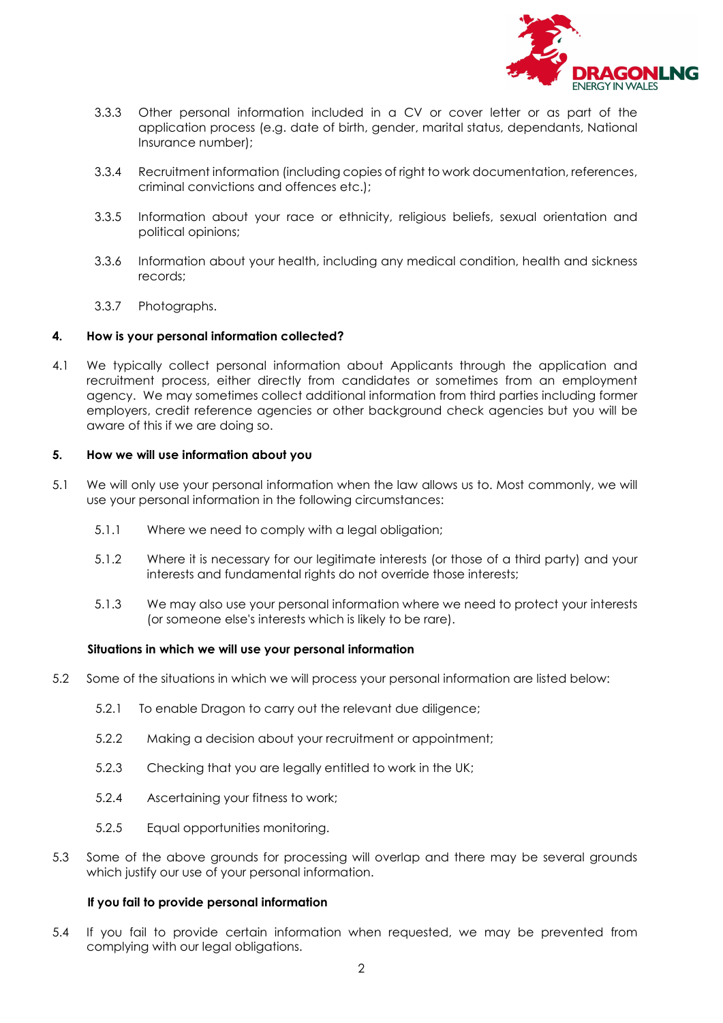

- 3.3.3 Other personal information included in a CV or cover letter or as part of the application process (e.g. date of birth, gender, marital status, dependants, National Insurance number);
- 3.3.4 Recruitment information (including copies of right to work documentation, references, criminal convictions and offences etc.);
- 3.3.5 Information about your race or ethnicity, religious beliefs, sexual orientation and political opinions;
- 3.3.6 Information about your health, including any medical condition, health and sickness records;
- 3.3.7 Photographs.

#### 4. How is your personal information collected?

4.1 We typically collect personal information about Applicants through the application and recruitment process, either directly from candidates or sometimes from an employment agency. We may sometimes collect additional information from third parties including former employers, credit reference agencies or other background check agencies but you will be aware of this if we are doing so.

#### 5. How we will use information about you

- 5.1 We will only use your personal information when the law allows us to. Most commonly, we will use your personal information in the following circumstances:
	- 5.1.1 Where we need to comply with a legal obligation;
	- 5.1.2 Where it is necessary for our legitimate interests (or those of a third party) and your interests and fundamental rights do not override those interests;
	- 5.1.3 We may also use your personal information where we need to protect your interests (or someone else's interests which is likely to be rare).

#### Situations in which we will use your personal information

- 5.2 Some of the situations in which we will process your personal information are listed below:
	- 5.2.1 To enable Dragon to carry out the relevant due diligence;
	- 5.2.2 Making a decision about your recruitment or appointment;
	- 5.2.3 Checking that you are legally entitled to work in the UK;
	- 5.2.4 Ascertaining your fitness to work;
	- 5.2.5 Equal opportunities monitoring.
- 5.3 Some of the above grounds for processing will overlap and there may be several grounds which justify our use of your personal information.

#### If you fail to provide personal information

5.4 If you fail to provide certain information when requested, we may be prevented from complying with our legal obligations.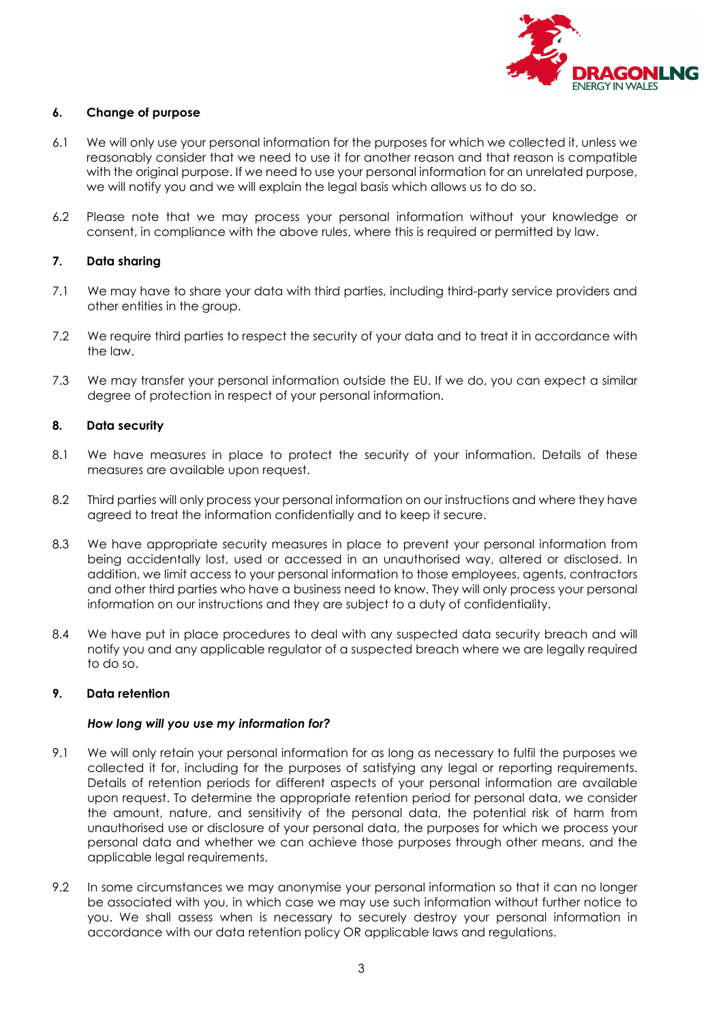

#### 6. Change of purpose

- 6.1 We will only use your personal information for the purposes for which we collected it, unless we reasonably consider that we need to use it for another reason and that reason is compatible with the original purpose. If we need to use your personal information for an unrelated purpose, we will notify you and we will explain the legal basis which allows us to do so.
- 6.2 Please note that we may process your personal information without your knowledge or consent, in compliance with the above rules, where this is required or permitted by law.

## 7. Data sharing

- 7.1 We may have to share your data with third parties, including third-party service providers and other entities in the group.
- 7.2 We require third parties to respect the security of your data and to treat it in accordance with the law.
- 7.3 We may transfer your personal information outside the EU. If we do, you can expect a similar degree of protection in respect of your personal information.

#### 8. Data security

- 8.1 We have measures in place to protect the security of your information. Details of these measures are available upon request.
- 8.2 Third parties will only process your personal information on our instructions and where they have agreed to treat the information confidentially and to keep it secure.
- 8.3 We have appropriate security measures in place to prevent your personal information from being accidentally lost, used or accessed in an unauthorised way, altered or disclosed. In addition, we limit access to your personal information to those employees, agents, contractors and other third parties who have a business need to know. They will only process your personal information on our instructions and they are subject to a duty of confidentiality.
- 8.4 We have put in place procedures to deal with any suspected data security breach and will notify you and any applicable regulator of a suspected breach where we are legally required to do so.

#### 9. Data retention

#### How long will you use my information for?

- 9.1 We will only retain your personal information for as long as necessary to fulfil the purposes we collected it for, including for the purposes of satisfying any legal or reporting requirements. Details of retention periods for different aspects of your personal information are available upon request. To determine the appropriate retention period for personal data, we consider the amount, nature, and sensitivity of the personal data, the potential risk of harm from unauthorised use or disclosure of your personal data, the purposes for which we process your personal data and whether we can achieve those purposes through other means, and the applicable legal requirements.
- 9.2 In some circumstances we may anonymise your personal information so that it can no longer be associated with you, in which case we may use such information without further notice to you. We shall assess when is necessary to securely destroy your personal information in accordance with our data retention policy OR applicable laws and regulations.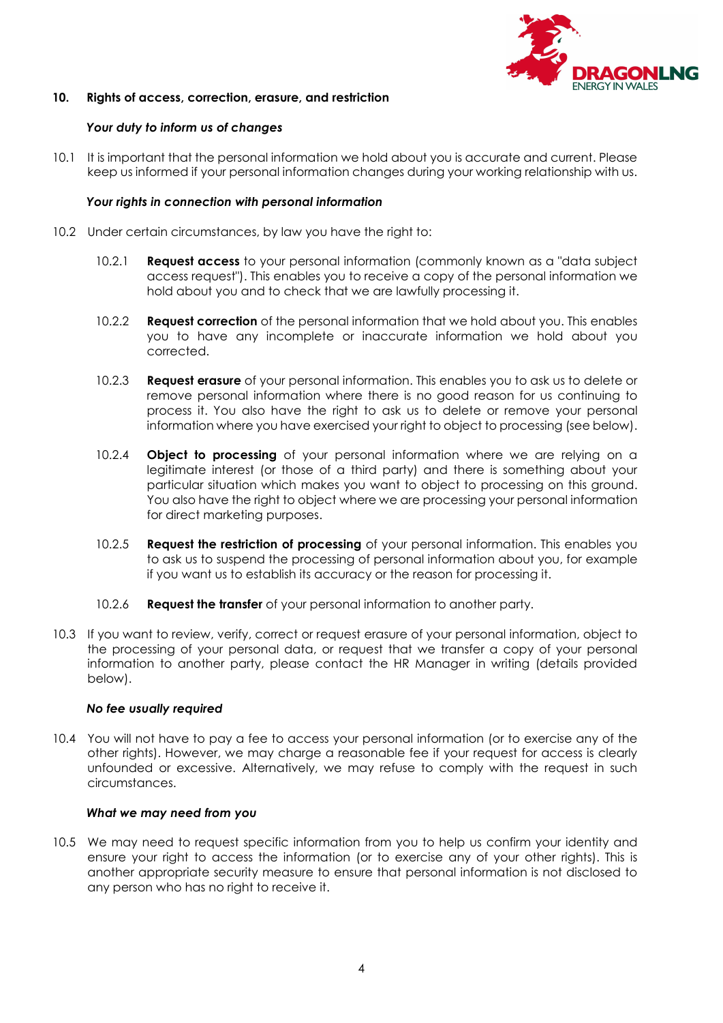

## 10. Rights of access, correction, erasure, and restriction

#### Your duty to inform us of changes

10.1 It is important that the personal information we hold about you is accurate and current. Please keep us informed if your personal information changes during your working relationship with us.

#### Your rights in connection with personal information

- 10.2 Under certain circumstances, by law you have the right to:
	- 10.2.1 **Request access** to your personal information (commonly known as a "data subject access request"). This enables you to receive a copy of the personal information we hold about you and to check that we are lawfully processing it.
	- 10.2.2 **Request correction** of the personal information that we hold about you. This enables you to have any incomplete or inaccurate information we hold about you corrected.
	- 10.2.3 Request erasure of your personal information. This enables you to ask us to delete or remove personal information where there is no good reason for us continuing to process it. You also have the right to ask us to delete or remove your personal information where you have exercised your right to object to processing (see below).
	- 10.2.4 **Object to processing** of your personal information where we are relying on a legitimate interest (or those of a third party) and there is something about your particular situation which makes you want to object to processing on this ground. You also have the right to object where we are processing your personal information for direct marketing purposes.
	- 10.2.5 **Request the restriction of processing** of your personal information. This enables you to ask us to suspend the processing of personal information about you, for example if you want us to establish its accuracy or the reason for processing it.
	- 10.2.6 Request the transfer of your personal information to another party.
- 10.3 If you want to review, verify, correct or request erasure of your personal information, object to the processing of your personal data, or request that we transfer a copy of your personal information to another party, please contact the HR Manager in writing (details provided below).

#### No fee usually required

10.4 You will not have to pay a fee to access your personal information (or to exercise any of the other rights). However, we may charge a reasonable fee if your request for access is clearly unfounded or excessive. Alternatively, we may refuse to comply with the request in such circumstances.

#### What we may need from you

10.5 We may need to request specific information from you to help us confirm your identity and ensure your right to access the information (or to exercise any of your other rights). This is another appropriate security measure to ensure that personal information is not disclosed to any person who has no right to receive it.